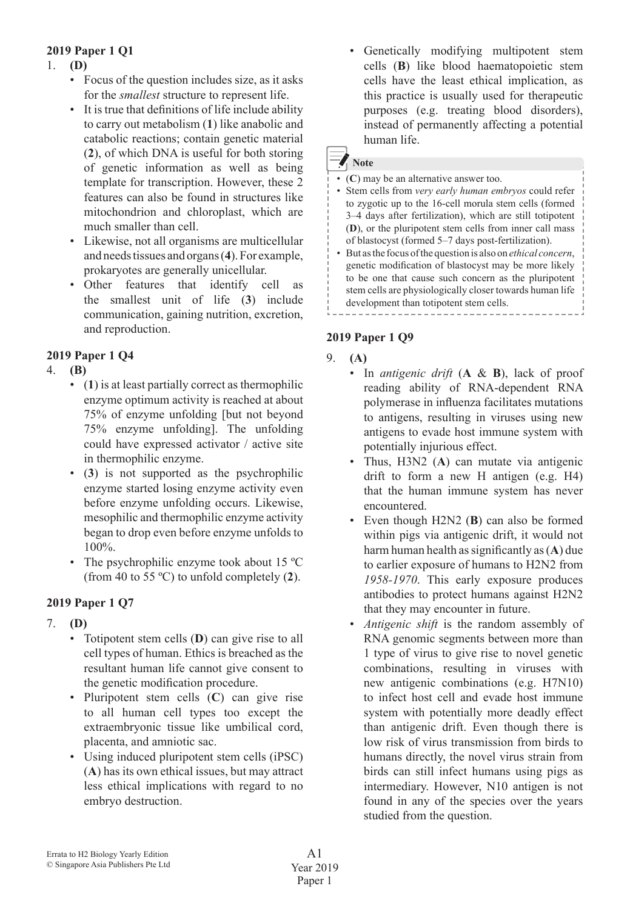## **2019 Paper 1 Q1**

## 1. **(D)**

- Focus of the question includes size, as it asks for the *smallest* structure to represent life.
- It is true that definitions of life include ability to carry out metabolism (**1**) like anabolic and catabolic reactions; contain genetic material (**2**), of which DNA is useful for both storing of genetic information as well as being template for transcription. However, these 2 features can also be found in structures like mitochondrion and chloroplast, which are much smaller than cell.
- • Likewise, not all organisms are multicellular and needstissues and organs(**4**).For example, prokaryotes are generally unicellular.
- • Other features that identify cell as the smallest unit of life (**3**) include communication, gaining nutrition, excretion, and reproduction.

## **2019 Paper 1 Q4**

## 4. **(B)**

- (1) is at least partially correct as thermophilic enzyme optimum activity is reached at about 75% of enzyme unfolding [but not beyond 75% enzyme unfolding]. The unfolding could have expressed activator / active site in thermophilic enzyme.
- • (**3**) is not supported as the psychrophilic enzyme started losing enzyme activity even before enzyme unfolding occurs. Likewise, mesophilic and thermophilic enzyme activity began to drop even before enzyme unfolds to 100%.
- The psychrophilic enzyme took about 15 °C (from 40 to 55 ºC) to unfold completely (**2**).

## **2019 Paper 1 Q7**

- 7. **(D)**
	- • Totipotent stem cells (**D**) can give rise to all cell types of human. Ethics is breached as the resultant human life cannot give consent to the genetic modification procedure.
	- • Pluripotent stem cells (**C**) can give rise to all human cell types too except the extraembryonic tissue like umbilical cord, placenta, and amniotic sac.
	- • Using induced pluripotent stem cells (iPSC) (**A**) has its own ethical issues, but may attract less ethical implications with regard to no embryo destruction.

 • Genetically modifying multipotent stem cells (**B**) like blood haematopoietic stem cells have the least ethical implication, as this practice is usually used for therapeutic purposes (e.g. treating blood disorders), instead of permanently affecting a potential human life.

# **Note**

- • (**C**) may be an alternative answer too.
- • Stem cells from *very early human embryos* could refer to zygotic up to the 16-cell morula stem cells (formed 3–4 days after fertilization), which are still totipotent (**D**), or the pluripotent stem cells from inner call mass of blastocyst (formed 5–7 days post-fertilization).
- But as the focus of the question is also on *ethical concern*, genetic modification of blastocyst may be more likely to be one that cause such concern as the pluripotent stem cells are physiologically closer towards human life development than totipotent stem cells. . . . . . . . . .

## **2019 Paper 1 Q9**

- 9. **(A)**
	- In *antigenic drift* (**A** & **B**), lack of proof reading ability of RNA-dependent RNA polymerase in influenza facilitates mutations to antigens, resulting in viruses using new antigens to evade host immune system with potentially injurious effect.
	- Thus, H3N2 (A) can mutate via antigenic drift to form a new H antigen (e.g. H4) that the human immune system has never encountered.
	- Even though H2N2 (**B**) can also be formed within pigs via antigenic drift, it would not harm human health assignificantly as(**A**) due to earlier exposure of humans to H2N2 from *1958-1970*. This early exposure produces antibodies to protect humans against H2N2 that they may encounter in future.
	- *Antigenic shift* is the random assembly of RNA genomic segments between more than 1 type of virus to give rise to novel genetic combinations, resulting in viruses with new antigenic combinations (e.g. H7N10) to infect host cell and evade host immune system with potentially more deadly effect than antigenic drift. Even though there is low risk of virus transmission from birds to humans directly, the novel virus strain from birds can still infect humans using pigs as intermediary. However, N10 antigen is not found in any of the species over the years studied from the question.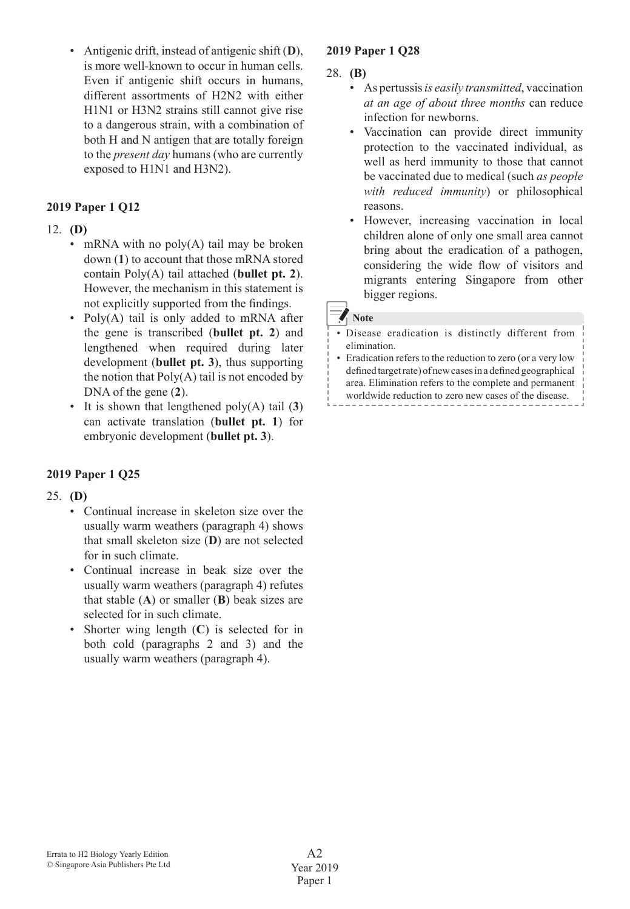• Antigenic drift, instead of antigenic shift (**D**), is more well-known to occur in human cells. Even if antigenic shift occurs in humans, different assortments of H2N2 with either H1N1 or H3N2 strains still cannot give rise to a dangerous strain, with a combination of both H and N antigen that are totally foreign to the *present day* humans (who are currently exposed to H1N1 and H3N2).

## **2019 Paper 1 Q12**

### 12. **(D)**

- mRNA with no  $poly(A)$  tail may be broken down (**1**) to account that those mRNA stored contain Poly(A) tail attached (**bullet pt. 2**). However, the mechanism in this statement is not explicitly supported from the findings.
- Poly $(A)$  tail is only added to mRNA after the gene is transcribed (**bullet pt. 2**) and lengthened when required during later development (**bullet pt. 3**), thus supporting the notion that  $Poly(A)$  tail is not encoded by DNA of the gene (**2**).
- • It is shown that lengthened poly(A) tail (**3**) can activate translation (**bullet pt. 1**) for embryonic development (**bullet pt. 3**).

## **2019 Paper 1 Q25**

## 25. **(D)**

- • Continual increase in skeleton size over the usually warm weathers (paragraph 4) shows that small skeleton size (**D**) are not selected for in such climate.
- • Continual increase in beak size over the usually warm weathers (paragraph 4) refutes that stable (**A**) or smaller (**B**) beak sizes are selected for in such climate.
- Shorter wing length (C) is selected for in both cold (paragraphs 2 and 3) and the usually warm weathers (paragraph 4).

## **2019 Paper 1 Q28**

#### 28. **(B)**

- As pertussis *is easily transmitted*, vaccination *at an age of about three months* can reduce infection for newborns.
- • Vaccination can provide direct immunity protection to the vaccinated individual, as well as herd immunity to those that cannot be vaccinated due to medical (such *as people with reduced immunity*) or philosophical reasons.
- However, increasing vaccination in local children alone of only one small area cannot bring about the eradication of a pathogen, considering the wide flow of visitors and migrants entering Singapore from other bigger regions.

### **Note**

- • Disease eradication is distinctly different from elimination.
- Eradication refers to the reduction to zero (or a very low defined target rate) of new cases in a defined geographical area. Elimination refers to the complete and permanent worldwide reduction to zero new cases of the disease.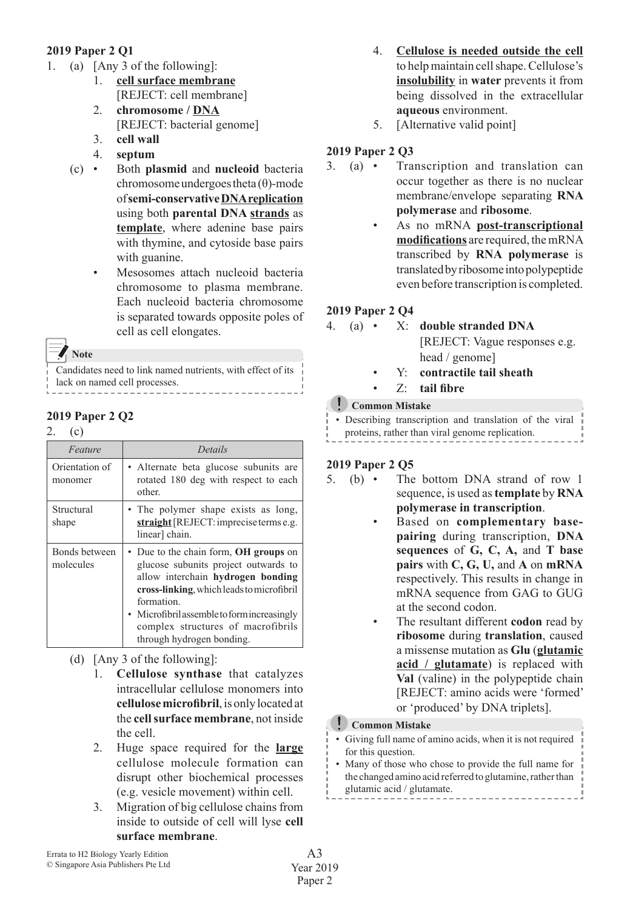## **2019 Paper 2 Q1**

- 1. (a)  $[Any 3 of the following]:$ 
	- 1. **cell surface membrane** [REJECT: cell membrane]
	- 2. **chromosome / DNA** [REJECT: bacterial genome]
	- 3. **cell wall**
	- 4. **septum**
	- (c) • Both **plasmid** and **nucleoid** bacteria chromosome undergoes theta  $(θ)$ -mode of **semi-conservative DNA replication** using both **parental DNA strands** as **template**, where adenine base pairs with thymine, and cytoside base pairs with guanine.
		- Mesosomes attach nucleoid bacteria chromosome to plasma membrane. Each nucleoid bacteria chromosome is separated towards opposite poles of cell as cell elongates.

**Note**

Candidates need to link named nutrients, with effect of its lack on named cell processes.

## **2019 Paper 2 Q2**

## $2-(c)$

| Feature                    | Details                                                                                                                                                                                                                                                                                         |
|----------------------------|-------------------------------------------------------------------------------------------------------------------------------------------------------------------------------------------------------------------------------------------------------------------------------------------------|
| Orientation of<br>monomer  | • Alternate beta glucose subunits are<br>rotated 180 deg with respect to each<br>other.                                                                                                                                                                                                         |
| Structural<br>shape        | • The polymer shape exists as long,<br>straight [REJECT: imprecise terms e.g.<br>linear] chain.                                                                                                                                                                                                 |
| Bonds between<br>molecules | • Due to the chain form, OH groups on<br>glucose subunits project outwards to<br>allow interchain hydrogen bonding<br>cross-linking, which leads to microfibril<br>formation.<br>• Microfibril assemble to form increasingly<br>complex structures of macrofibrils<br>through hydrogen bonding. |

(d)  $[Any 3 of the following]:$ 

- 1. **Cellulose synthase** that catalyzes intracellular cellulose monomers into **cellulose microfibril**, is only located at the **cell surface membrane**, not inside the cell.
- 2. Huge space required for the **large** cellulose molecule formation can disrupt other biochemical processes (e.g. vesicle movement) within cell.
- 3. Migration of big cellulose chains from inside to outside of cell will lyse **cell surface membrane**.
- 4. **Cellulose is needed outside the cell** to helpmaintain cellshape.Cellulose's **insolubility** in **water** prevents it from being dissolved in the extracellular **aqueous** environment.
- 5. [Alternative valid point]

## **2019 Paper 2 Q3**

- 3. (a) • Transcription and translation can occur together as there is no nuclear membrane/envelope separating **RNA polymerase** and **ribosome**.
	- As no mRNA post-transcriptional **modifications** are required, themRNA transcribed by **RNA polymerase** is translatedbyribosome intopolypeptide even before transcription is completed.

## **2019 Paper 2 Q4**

|  |  | 4. (a) • $X$ : double stranded DNA |  |  |
|--|--|------------------------------------|--|--|
|  |  | [REJECT: Vague responses e.g.]     |  |  |
|  |  | head / genome]                     |  |  |
|  |  | Y: contractile tail sheath         |  |  |
|  |  | $\sigma$ $\mu$ neighborhood        |  |  |

 • Z: **tail fibre**

## **Common Mistake**

• Describing transcription and translation of the viral proteins, rather than viral genome replication.

## **2019 Paper 2 Q5**

- 5. (b) The bottom DNA strand of row 1 sequence, is used as **template** by **RNA polymerase in transcription**.
	- Based on **complementary basepairing** during transcription, **DNA sequences** of **G, C, A,** and **T base pairs** with **C, G, U,** and **A** on **mRNA** respectively. This results in change in mRNA sequence from GAG to GUG at the second codon.
		- The resultant different **codon** read by **ribosome** during **translation**, caused a missense mutation as **Glu** (**glutamic acid / glutamate**) is replaced with **Val** (valine) in the polypeptide chain [REJECT: amino acids were 'formed' or 'produced' by DNA triplets].

## **Common Mistake**

- Giving full name of amino acids, when it is not required for this question.
- Many of those who chose to provide the full name for the changed amino acid referred to glutamine, rather than glutamic acid / glutamate.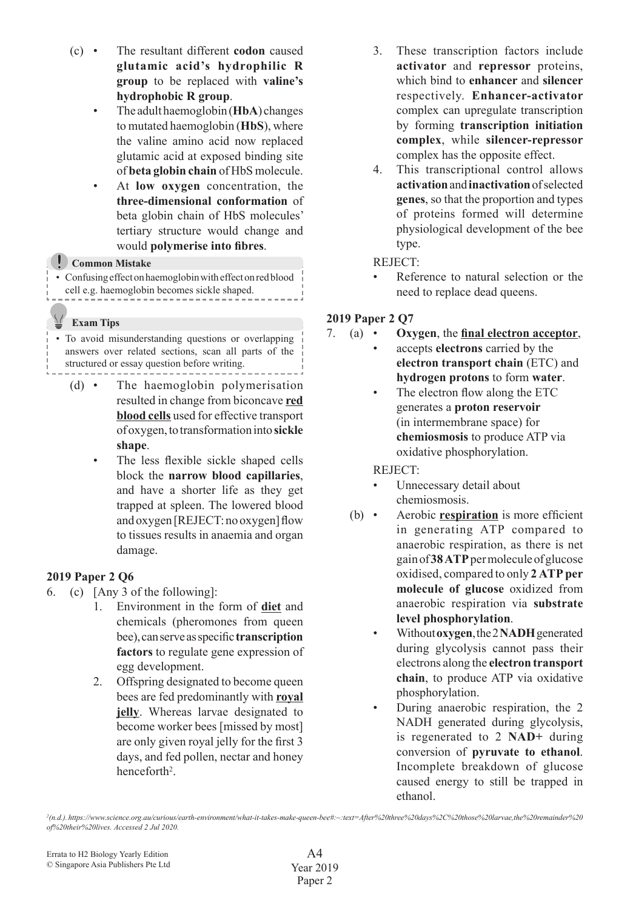- (c) • The resultant different **codon** caused **glutamic acid's hydrophilic R group** to be replaced with **valine's hydrophobic R group**.
	- • The adulthaemoglobin(**HbA**) changes to mutated haemoglobin (**HbS**), where the valine amino acid now replaced glutamic acid at exposed binding site of **beta globin chain** of HbS molecule.
	- At **low oxygen** concentration, the **three-dimensional conformation** of beta globin chain of HbS molecules' tertiary structure would change and would **polymerise into fibres**.

#### **Common Mistake**

• Confusing effect on haemoglobin with effect on red blood cell e.g. haemoglobin becomes sickle shaped.

#### **Exam Tips**

• To avoid misunderstanding questions or overlapping answers over related sections, scan all parts of the structured or essay question before writing.

- (d) • The haemoglobin polymerisation resulted in change from biconcave **red blood cells** used for effective transport ofoxygen,totransformationinto**sickle shape**.
	- The less flexible sickle shaped cells block the **narrow blood capillaries**, and have a shorter life as they get trapped at spleen. The lowered blood andoxygen[REJECT:nooxygen]flow to tissues results in anaemia and organ damage.

## **2019 Paper 2 Q6**

- 6. (c) [Any 3 of the following]:
	- 1. Environment in the form of **diet** and chemicals (pheromones from queen bee),canserveasspecific**transcription factors** to regulate gene expression of egg development.
	- 2. Offspring designated to become queen bees are fed predominantly with **royal jelly**. Whereas larvae designated to become worker bees [missed by most] are only given royal jelly for the first 3 days, and fed pollen, nectar and honey henceforth<sup>2</sup>.
- 3. These transcription factors include **activator** and **repressor** proteins, which bind to **enhancer** and **silencer** respectively. **Enhancer-activator** complex can upregulate transcription by forming **transcription initiation complex**, while **silencer-repressor** complex has the opposite effect.
- 4. This transcriptional control allows **activation** and **inactivation** of selected **genes**, so that the proportion and types of proteins formed will determine physiological development of the bee type.

### REJECT:

Reference to natural selection or the need to replace dead queens.

## **2019 Paper 2 Q7**

- 7. (a) • **Oxygen**, the **final electron acceptor**,
	- accepts **electrons** carried by the **electron transport chain** (ETC) and **hydrogen protons** to form **water**.
		- The electron flow along the ETC generates a **proton reservoir** (in intermembrane space) for **chemiosmosis** to produce ATP via oxidative phosphorylation.

 REJECT:

- Unnecessary detail about chemiosmosis.
- (b) • Aerobic **respiration** is more efficient in generating ATP compared to anaerobic respiration, as there is net gainof**38 ATP**permoleculeofglucose oxidised, compared to only **2 ATP per molecule of glucose** oxidized from anaerobic respiration via **substrate level phosphorylation**.
	- Without **oxygen**,the2**NADH**generated during glycolysis cannot pass their electrons along the **electron transport chain**, to produce ATP via oxidative phosphorylation.
	- During anaerobic respiration, the 2 NADH generated during glycolysis, is regenerated to 2 **NAD+** during conversion of **pyruvate to ethanol**. Incomplete breakdown of glucose caused energy to still be trapped in ethanol.

*2 (n.d.). https://www.science.org.au/curious/earth-environment/what-it-takes-make-queen-bee#:~:text=After%20three%20days%2C%20those%20larvae,the%20remainder%20 of%20their%20lives. Accessed 2 Jul 2020.*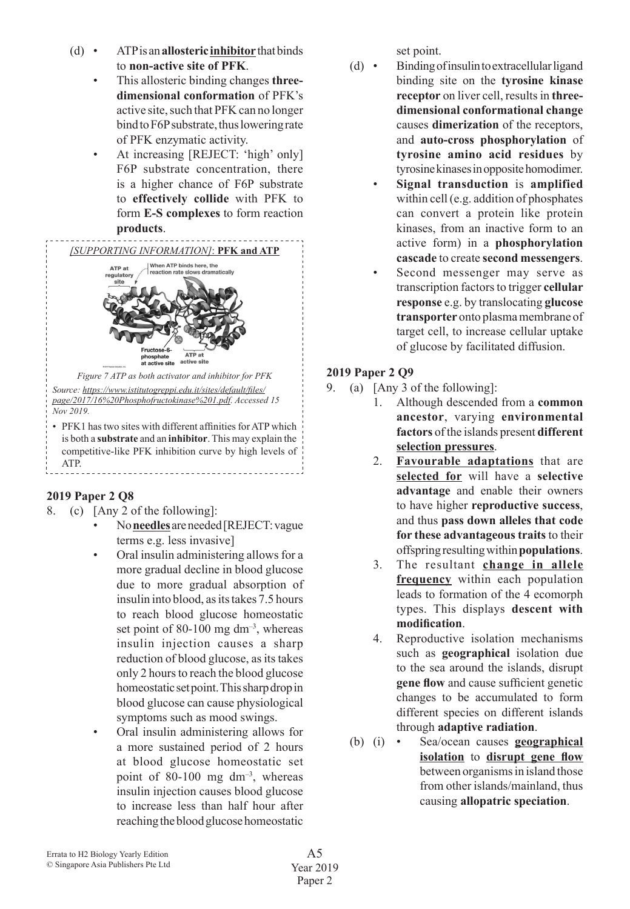- (d) • ATPisan**allosteric inhibitor** thatbinds to **non-active site of PFK**.
	- This allosteric binding changes **threedimensional conformation** of PFK's active site, such that PFK can no longer bind to F6P substrate, thus lowering rate of PFK enzymatic activity.
	- At increasing [REJECT: 'high' only] F6P substrate concentration, there is a higher chance of F6P substrate to **effectively collide** with PFK to form **E-S complexes** to form reaction **products**.



competitive-like PFK inhibition curve by high levels of ATP. \_\_\_\_\_\_\_\_\_\_\_\_\_\_\_\_\_\_\_\_\_\_\_\_\_\_\_\_

## **2019 Paper 2 Q8**

- 8. (c) [Any 2 of the following]:
	- No **needles**areneeded[REJECT:vague terms e.g. less invasive]
	- Oral insulin administering allows for a more gradual decline in blood glucose due to more gradual absorption of insulin into blood, as its takes 7.5 hours to reach blood glucose homeostatic set point of 80-100 mg dm<sup>-3</sup>, whereas insulin injection causes a sharp reduction of blood glucose, as its takes only 2 hours to reach the blood glucose homeostatic set point. This sharp drop in blood glucose can cause physiological symptoms such as mood swings.
	- Oral insulin administering allows for a more sustained period of 2 hours at blood glucose homeostatic set point of 80-100 mg dm–3, whereas insulin injection causes blood glucose to increase less than half hour after reachingthebloodglucosehomeostatic

set point.

- (d) Binding of insulinto extracellular ligand binding site on the **tyrosine kinase**  receptor on liver cell, results in three**dimensional conformational change** causes **dimerization** of the receptors, and **auto-cross phosphorylation** of **tyrosine amino acid residues** by tyrosinekinasesinoppositehomodimer.
	- **Signal transduction** is **amplified** within cell(e.g. addition of phosphates can convert a protein like protein kinases, from an inactive form to an active form) in a **phosphorylation cascade** to create **second messengers**.
	- Second messenger may serve as transcription factors to trigger **cellular response** e.g. by translocating **glucose**  transporter onto plasma membrane of target cell, to increase cellular uptake of glucose by facilitated diffusion.

## **2019 Paper 2 Q9**

- 9. (a) [Any 3 of the following]:
	- 1. Although descended from a **common ancestor**, varying **environmental factors** of the islands present **different selection pressures**.
	- 2. **Favourable adaptations** that are **selected for** will have a **selective advantage** and enable their owners to have higher **reproductive success**, and thus **pass down alleles that code for these advantageous traits** to their offspringresultingwithin**populations**.
	- 3. The resultant **change in allele frequency** within each population leads to formation of the 4 ecomorph types. This displays **descent with modification**.
	- 4. Reproductive isolation mechanisms such as **geographical** isolation due to the sea around the islands, disrupt **gene flow** and cause sufficient genetic changes to be accumulated to form different species on different islands through **adaptive radiation**.
	- (b) (i) • Sea/ocean causes **geographical isolation** to **disrupt gene flow** between organisms in island those from other islands/mainland, thus causing **allopatric speciation**.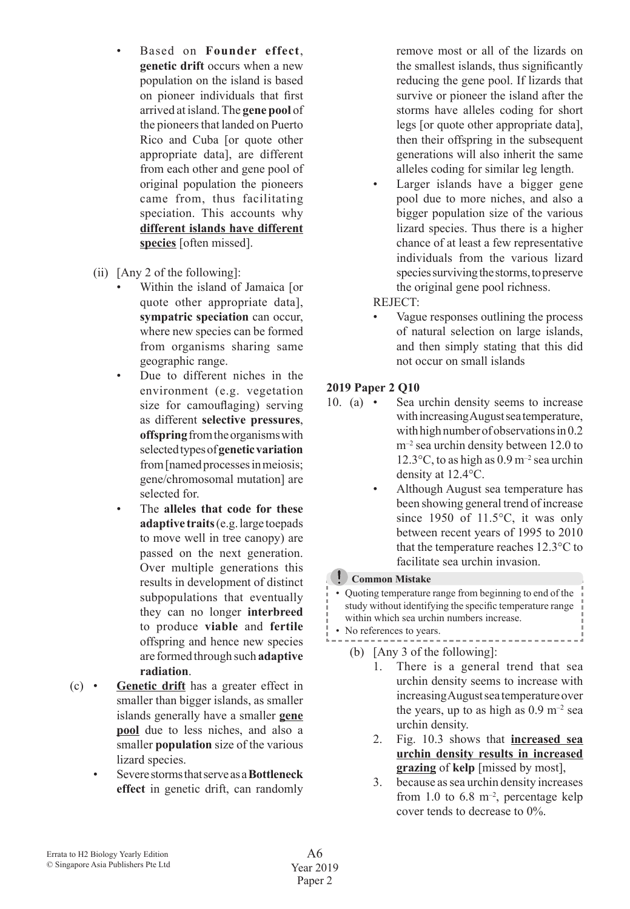- Based on **Founder effect**, **genetic drift** occurs when a new population on the island is based on pioneer individuals that first arrived at island.The **gene pool** of the pioneers that landed on Puerto Rico and Cuba [or quote other appropriate data], are different from each other and gene pool of original population the pioneers came from, thus facilitating speciation. This accounts why **different islands have different species** [often missed].
- (ii)  $[Any 2 of the following]:$ 
	- Within the island of Jamaica [or quote other appropriate data], **sympatric speciation** can occur, where new species can be formed from organisms sharing same geographic range.
	- Due to different niches in the environment (e.g. vegetation size for camouflaging) serving as different **selective pressures**, **offspring**fromtheorganismswith selectedtypesof**genetic variation** from [named processes in meiosis; gene/chromosomal mutation] are selected for.
	- The **alleles** that code for these **adaptive traits**(e.g.large toepads to move well in tree canopy) are passed on the next generation. Over multiple generations this results in development of distinct subpopulations that eventually they can no longer **interbreed** to produce **viable** and **fertile** offspring and hence new species are formed through such **adaptive radiation**.
- (c) • **Genetic drift** has a greater effect in smaller than bigger islands, as smaller islands generally have a smaller **gene pool** due to less niches, and also a smaller **population** size of the various lizard species.
	- Severe storms that serve as a **Bottleneck effect** in genetic drift, can randomly

remove most or all of the lizards on the smallest islands, thus significantly reducing the gene pool. If lizards that survive or pioneer the island after the storms have alleles coding for short legs [or quote other appropriate data], then their offspring in the subsequent generations will also inherit the same alleles coding for similar leg length.

Larger islands have a bigger gene pool due to more niches, and also a bigger population size of the various lizard species. Thus there is a higher chance of at least a few representative individuals from the various lizard species surviving the storms, to preserve the original gene pool richness.

 REJECT:

Vague responses outlining the process of natural selection on large islands, and then simply stating that this did not occur on small islands

## **2019 Paper 2 Q10**

- 10. (a) Sea urchin density seems to increase with increasing August sea temperature, with high number of observations in 0.2  $m^{-2}$  sea urchin density between 12.0 to 12.3 $\degree$ C, to as high as 0.9 m<sup>-2</sup> sea urchin density at 12.4°C.
	- Although August sea temperature has been showing general trend of increase since 1950 of 11.5°C, it was only between recent years of 1995 to 2010 that the temperature reaches 12.3°C to facilitate sea urchin invasion.

## **Common Mistake**

• Quoting temperature range from beginning to end of the study without identifying the specific temperature range within which sea urchin numbers increase.

- No references to years.
	- (b) [Any 3 of the following]:
		- 1. There is a general trend that sea urchin density seems to increase with increasing August sea temperature over the years, up to as high as  $0.9 \text{ m}^{-2}$  sea urchin density.
		- 2. Fig. 10.3 shows that **increased sea urchin density results in increased grazing** of **kelp** [missed by most],
		- 3. because assea urchin density increases from 1.0 to 6.8  $m$ <sup>-2</sup>, percentage kelp cover tends to decrease to 0%.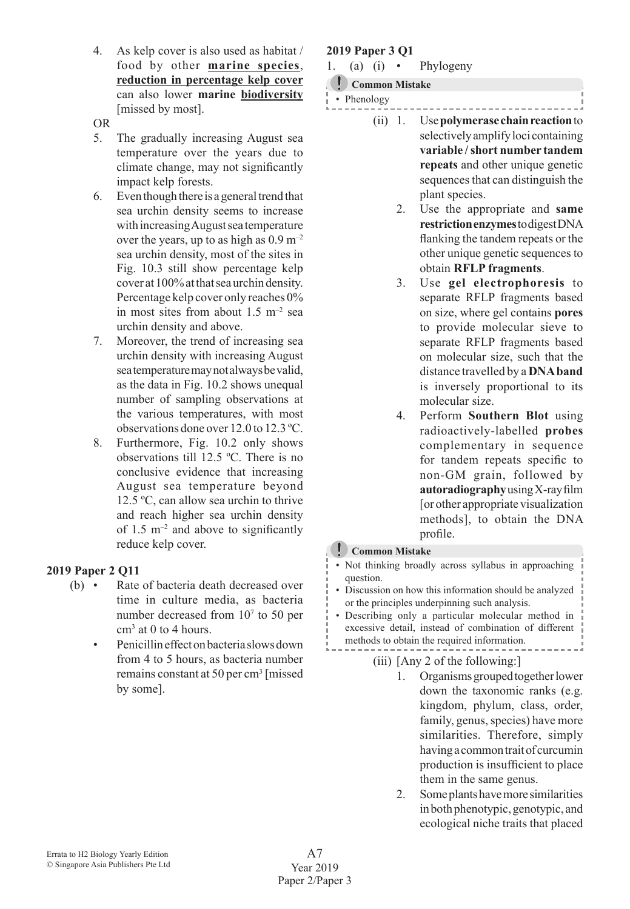- 4. As kelp cover is also used as habitat / food by other **marine species**, **reduction in percentage kelp cover** can also lower **marine biodiversity** [missed by most].
- OR
- 5. The gradually increasing August sea temperature over the years due to climate change, may not significantly impact kelp forests.
- $6.$  Even though there is a general trend that sea urchin density seems to increase with increasing August sea temperature over the years, up to as high as  $0.9 \text{ m}^{-2}$ sea urchin density, most of the sites in Fig. 10.3 still show percentage kelp cover at 100% at that sea urchin density. Percentage kelp cover only reaches 0% in most sites from about  $1.5 \text{ m}^{-2}$  sea urchin density and above.
- 7. Moreover, the trend of increasing sea urchin density with increasing August seatemperaturemaynotalwaysbevalid, as the data in Fig. 10.2 shows unequal number of sampling observations at the various temperatures, with most observations done over 12.0 to 12.3 ºC.
- 8. Furthermore, Fig. 10.2 only shows observations till 12.5 ºC. There is no conclusive evidence that increasing August sea temperature beyond 12.5 ºC, can allow sea urchin to thrive and reach higher sea urchin density of  $1.5 \text{ m}^{-2}$  and above to significantly reduce kelp cover.

## **2019 Paper 2 Q11**

- (b) Rate of bacteria death decreased over time in culture media, as bacteria number decreased from 10<sup>7</sup> to 50 per cm<sup>3</sup> at 0 to 4 hours.
	- Penicillin effect on bacteria slows down from 4 to 5 hours, as bacteria number remains constant at 50 per cm<sup>3</sup> [missed by some].

### **2019 Paper 3 Q1**

- 1. (a) (i) Phylogeny
	- **Common Mistake**

• Phenology

- (ii) 1. Use**polymerase chain reaction** to
	- selectivelyamplifyloci containing **variable / short number tandem repeats** and other unique genetic sequences that can distinguish the plant species.
		- 2. Use the appropriate and **same restriction enzymes**todigestDNA flanking the tandem repeats or the other unique genetic sequencesto obtain **RFLP fragments**.
		- 3. Use **gel electrophoresis** to separate RFLP fragments based on size, where gel contains **pores** to provide molecular sieve to separate RFLP fragments based on molecular size, such that the distance travelled by a **DNA band** is inversely proportional to its molecular size.
		- 4. Perform **Southern Blot** using radioactively-labelled **probes** complementary in sequence for tandem repeats specific to non-GM grain, followed by **autoradiography**usingX-rayfilm [or other appropriate visualization methods], to obtain the DNA profile.

## **Common Mistake**

- • Not thinking broadly across syllabus in approaching question.
- • Discussion on how this information should be analyzed or the principles underpinning such analysis.
- • Describing only a particular molecular method in excessive detail, instead of combination of different methods to obtain the required information.
	- (iii)  $[Any 2 of the following.]$ 
		- 1. Organisms grouped together lower down the taxonomic ranks (e.g. kingdom, phylum, class, order, family, genus, species) have more similarities. Therefore, simply havingacommontraitofcurcumin production is insufficient to place them in the same genus.
		- 2. Someplantshavemoresimilarities in both phenotypic, genotypic, and ecological niche traits that placed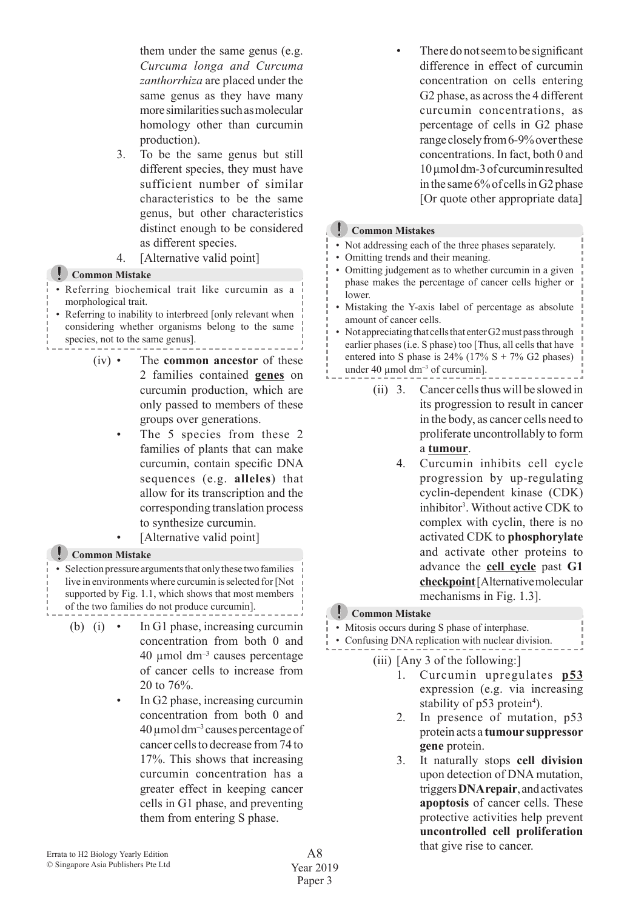them under the same genus (e.g. *Curcuma longa and Curcuma zanthorrhiza* are placed under the same genus as they have many more similarities such as molecular homology other than curcumin production).

- 3. To be the same genus but still different species, they must have sufficient number of similar characteristics to be the same genus, but other characteristics distinct enough to be considered as different species.
- 4. [Alternative valid point]

### **Common Mistake**

- • Referring biochemical trait like curcumin as a morphological trait.
- Referring to inability to interbreed [only relevant when considering whether organisms belong to the same species, not to the same genus].
	- (iv) • The **common ancestor** of these 2 families contained **genes** on curcumin production, which are only passed to members of these groups over generations.
		- The 5 species from these 2 families of plants that can make curcumin, contain specific DNA sequences (e.g. **alleles**) that allow for its transcription and the corresponding translation process to synthesize curcumin.
		- [Alternative valid point]

#### **Common Mistake**

• Selection pressure arguments that only these two families live in environments where curcumin is selected for [Not] supported by Fig. 1.1, which shows that most members of the two families do not produce curcumin].

- (b) (i) In G1 phase, increasing curcumin concentration from both 0 and 40  $\mu$ mol dm<sup>-3</sup> causes percentage of cancer cells to increase from 20 to 76%.
	- In G<sub>2</sub> phase, increasing curcumin concentration from both 0 and  $40 \mu$ moldm<sup>-3</sup> causes percentage of cancer cells to decrease from 74 to 17%. This shows that increasing curcumin concentration has a greater effect in keeping cancer cells in G1 phase, and preventing them from entering S phase.

There do not seem to be significant difference in effect of curcumin concentration on cells entering G<sub>2</sub> phase, as across the 4 different curcumin concentrations, as percentage of cells in G2 phase range closely from 6-9% over these concentrations. In fact, both 0 and 10µmoldm-3ofcurcuminresulted in the same 6% of cells in G2 phase [Or quote other appropriate data]

#### **Common Mistakes**

- Not addressing each of the three phases separately.
- Omitting trends and their meaning.
- Omitting judgement as to whether curcumin in a given phase makes the percentage of cancer cells higher or lower.
- • Mistaking the Y-axis label of percentage as absolute amount of cancer cells.
- Not appreciating that cells that enter G2 must pass through earlier phases (i.e. S phase) too [Thus, all cells that have entered into S phase is  $24\%$  (17% S + 7% G2 phases) under 40  $\mu$ mol dm<sup>-3</sup> of curcumin].
	- (ii) 3. Cancer cells thus will be slowed in its progression to result in cancer in the body, as cancer cells need to proliferate uncontrollably to form a **tumour**.
		- 4. Curcumin inhibits cell cycle progression by up-regulating cyclin-dependent kinase (CDK) inhibitor<sup>3</sup> . Without active CDK to complex with cyclin, there is no activated CDK to **phosphorylate** and activate other proteins to advance the **cell cycle** past **G1 checkpoint**[Alternativemolecular mechanisms in Fig. 1.3].

#### **Common Mistake**

- Mitosis occurs during S phase of interphase.
- • Confusing DNA replication with nuclear division.
	- (iii)  $[Any 3 of the following.]$ 
		- 1. Curcumin upregulates **p53** expression (e.g. via increasing stability of  $p53$  protein<sup>4</sup>).
		- 2. In presence of mutation, p53 protein acts a **tumour suppressor gene** protein.
		- 3. It naturally stops **cell division** upon detection of DNA mutation, triggers**DNA repair**,andactivates **apoptosis** of cancer cells. These protective activities help prevent **uncontrolled cell proliferation** that give rise to cancer.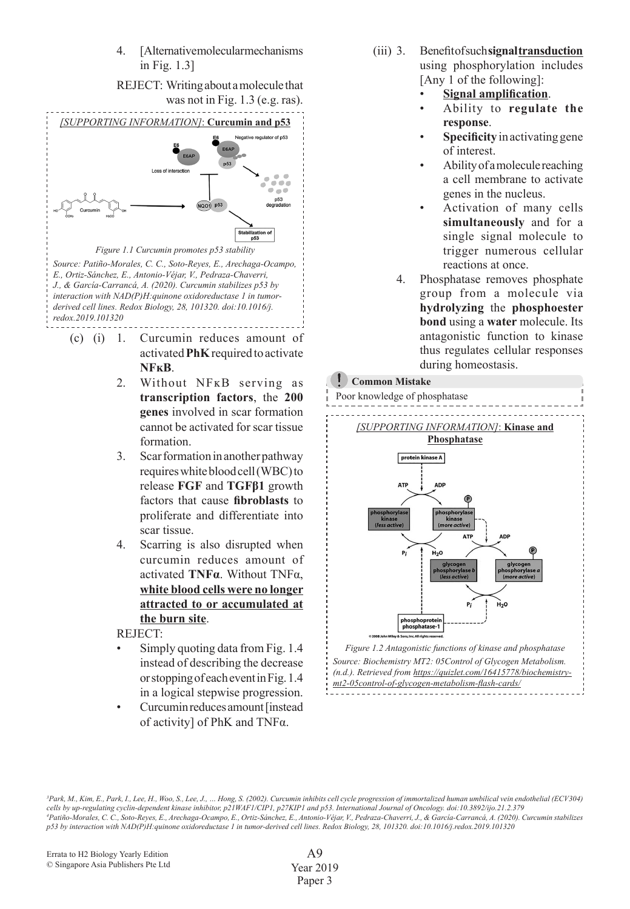4. [Alternativemolecularmechanisms in Fig. 1.3]



- activated**PhK**requiredtoactivate **NFĸB**.
	- 2. Without NFKB serving as **transcription factors**, the **200 genes** involved in scar formation cannot be activated for scar tissue formation.
	- 3. Scar formation in another pathway requireswhitebloodcell(WBC)to release **FGF** and **TGFβ1** growth factors that cause **fibroblasts** to proliferate and differentiate into scar tissue.
	- 4. Scarring is also disrupted when curcumin reduces amount of activated **TNFα**. Without TNFα, **white blood cells were no longer attracted to or accumulated at the burn site**.

 REJECT:

- Simply quoting data from Fig. 1.4 instead of describing the decrease orstoppingofeacheventinFig.1.4 in a logical stepwise progression.
- Curcumin reduces amount [instead of activity] of PhK and TNFα.
- (iii) 3. Benefitofsuch**signaltransduction** using phosphorylation includes [Any 1 of the following]:
	- **Signal amplification**.
	- Ability to **regulate the response**.
	- **Specificity** in activating gene of interest.
	- Ability of a molecule reaching a cell membrane to activate genes in the nucleus.
	- Activation of many cells **simultaneously** and for a single signal molecule to trigger numerous cellular reactions at once.
	- 4. Phosphatase removes phosphate group from a molecule via **hydrolyzing** the **phosphoester bond** using a **water** molecule. Its antagonistic function to kinase thus regulates cellular responses during homeostasis.

#### **Common Mistake**



*3 Park, M., Kim, E., Park, I., Lee, H., Woo, S., Lee, J., … Hong, S. (2002). Curcumin inhibits cell cycle progression of immortalized human umbilical vein endothelial (ECV304) cells by up-regulating cyclin-dependent kinase inhibitor, p21WAF1/CIP1, p27KIP1 and p53. International Journal of Oncology. doi:10.3892/ijo.21.2.379 4 Patiño-Morales, C. C., Soto-Reyes, E., Arechaga-Ocampo, E., Ortiz-Sánchez, E., Antonio-Véjar, V., Pedraza-Chaverri, J., & García-Carrancá, A. (2020). Curcumin stabilizes p53 by interaction with NAD(P)H:quinone oxidoreductase 1 in tumor-derived cell lines. Redox Biology, 28, 101320. doi:10.1016/j.redox.2019.101320*

A9 Year 2019 Paper 3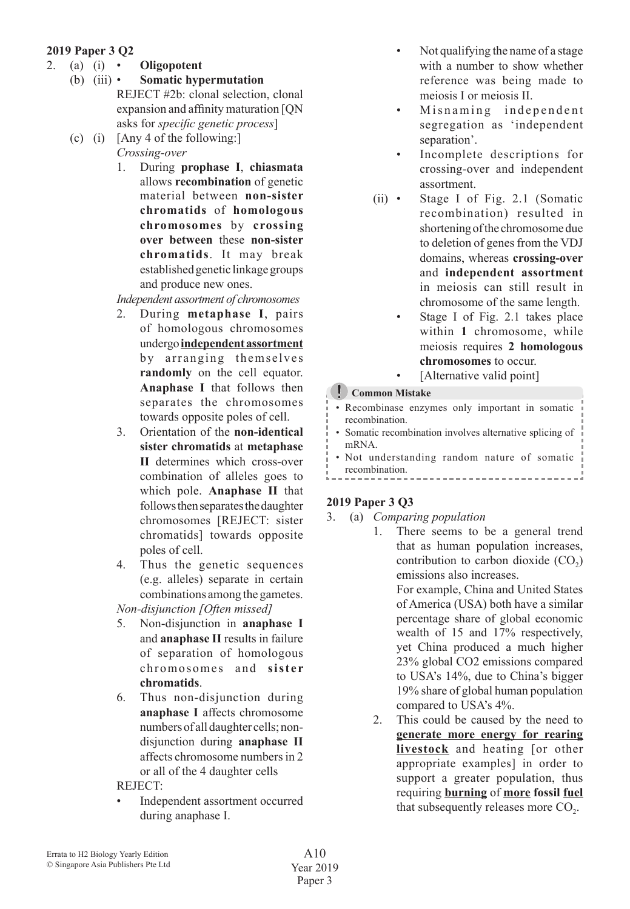## **2019 Paper 3 Q2**

- 2. (a) (i) **• Oligopotent**<br>(b) (iii) **• Somatic hvn** 
	- **Somatic hypermutation**  REJECT #2b: clonal selection, clonal expansion and affinity maturation [QN asks for *specific genetic process*]
	- (c) (i)  $[Any 4 of the following.]$  *Crossing-over*
		- 1. During **prophase I**, **chiasmata** allows **recombination** of genetic material between **non-sister chromatids** of **homologous chromosomes** by **crossing over between** these **non-sister chromatids**. It may break established genetic linkage groups and produce new ones.

*Independent assortment of chromosomes*

- 2. During **metaphase I**, pairs of homologous chromosomes undergo**independent assortment** by arranging themselves **randomly** on the cell equator. **Anaphase I** that follows then separates the chromosomes towards opposite poles of cell.
- 3. Orientation of the **non-identical sister chromatids** at **metaphase II** determines which cross-over combination of alleles goes to which pole. **Anaphase II** that follows then separates the daughter chromosomes [REJECT: sister chromatids] towards opposite poles of cell.
- 4. Thus the genetic sequences (e.g. alleles) separate in certain combinations among the gametes.
- *Non-disjunction [Often missed]*
- 5. Non-disjunction in **anaphase I** and **anaphase II** results in failure of separation of homologous chromosomes and **sister chromatids**.
- 6. Thus non-disjunction during **anaphase I** affects chromosome numbers of all daughter cells; nondisjunction during **anaphase II** affects chromosome numbersin 2 or all of the 4 daughter cells

 REJECT:

Independent assortment occurred during anaphase I.

- Not qualifying the name of a stage with a number to show whether reference was being made to meiosis I or meiosis II.
- • Misnaming independent segregation as 'independent separation'.
- • Incomplete descriptions for crossing-over and independent assortment.
- (ii) Stage I of Fig. 2.1 (Somatic recombination) resulted in shortening of the chromosome due to deletion of genes from the VDJ domains, whereas **crossing-over** and **independent assortment** in meiosis can still result in chromosome of the same length.
	- Stage I of Fig. 2.1 takes place within **1** chromosome, while meiosis requires **2 homologous chromosomes** to occur.
	- [Alternative valid point]

#### **Common Mistake**

|  |                |  | • Recombinase enzymes only important in somatic |  |  |
|--|----------------|--|-------------------------------------------------|--|--|
|  | recombination. |  |                                                 |  |  |
|  |                |  |                                                 |  |  |

- • Somatic recombination involves alternative splicing of mRNA.
- Not understanding random nature of somatic recombination. \_\_\_\_\_\_\_\_\_\_\_\_\_\_\_\_\_\_\_\_\_\_

## **2019 Paper 3 Q3**

- 3. (a) *Comparing population*
	- 1. There seems to be a general trend that as human population increases, contribution to carbon dioxide  $(CO<sub>2</sub>)$ emissions also increases. For example, China and United States of America (USA) both have a similar percentage share of global economic wealth of 15 and 17% respectively, yet China produced a much higher 23% global CO2 emissions compared to USA's 14%, due to China's bigger 19% share of global human population compared to USA's 4%.
	- 2. This could be caused by the need to **generate more energy for rearing livestock** and heating [or other appropriate examples] in order to support a greater population, thus requiring **burning** of **more fossil fuel** that subsequently releases more  $CO<sub>2</sub>$ .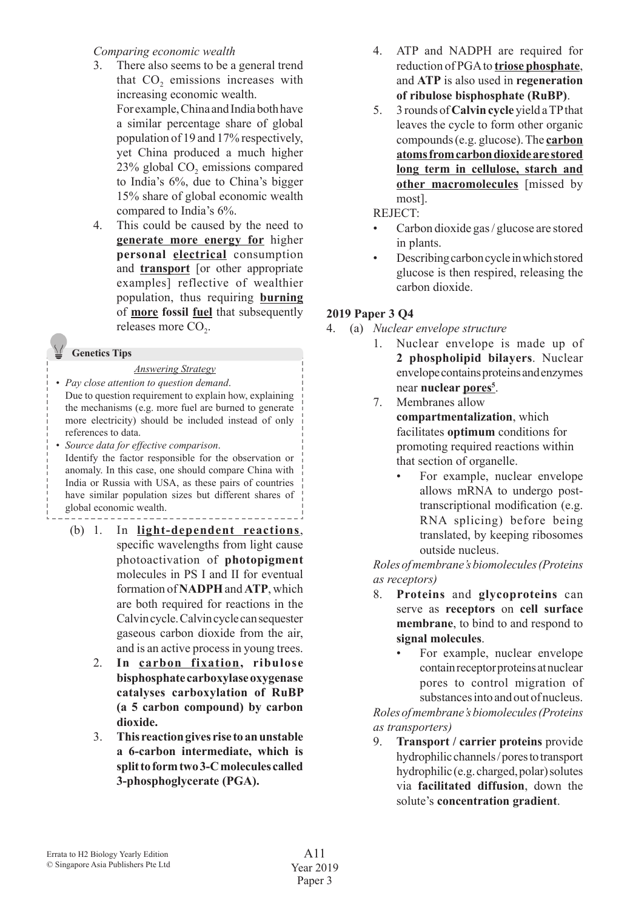#### *Comparing economic wealth*

- 3. There also seems to be a general trend that CO<sub>2</sub> emissions increases with increasing economic wealth. For example, China and India both have a similar percentage share of global population of 19 and 17% respectively, yet China produced a much higher 23% global CO<sub>2</sub> emissions compared to India's 6%, due to China's bigger 15% share of global economic wealth compared to India's 6%.
- 4. This could be caused by the need to **generate more energy for** higher **personal electrical** consumption and **transport** [or other appropriate examples] reflective of wealthier population, thus requiring **burning** of **more fossil fuel** that subsequently releases more  $CO<sub>2</sub>$ .

#### **Genetics Tips**

#### *Answering Strategy*

- *Pay close attention to question demand*. Due to question requirement to explain how, explaining the mechanisms (e.g. more fuel are burned to generate more electricity) should be included instead of only references to data.
- *Source data for effective comparison*. Identify the factor responsible for the observation or anomaly. In this case, one should compare China with India or Russia with USA, as these pairs of countries have similar population sizes but different shares of global economic wealth.
	- (b) 1. In **light-dependent reactions**, specific wavelengths from light cause photoactivation of **photopigment** molecules in PS I and II for eventual formation of **NADPH** and **ATP**, which are both required for reactions in the Calvincycle.Calvincyclecansequester gaseous carbon dioxide from the air, and is an active processin young trees.
		- 2. **In carbon fixation, ribulose bisphosphate carboxylase oxygenase catalyses carboxylation of RuBP (a 5 carbon compound) by carbon dioxide.**
		- 3. **This reaction gives rise to an unstable a 6-carbon intermediate, which is split to form two 3-C molecules called 3-phosphoglycerate (PGA).**
- 4. ATP and NADPH are required for reduction of PGA to **triose phosphate**, and **ATP** is also used in **regeneration of ribulose bisphosphate (RuBP)**.
- 5. 3 rounds of **Calvin cycle** yield aTPthat leaves the cycle to form other organic compounds(e.g. glucose).The **carbon atoms from carbon dioxide are stored long term in cellulose, starch and other macromolecules** [missed by most].

 REJECT:

- Carbon dioxide gas / glucose are stored in plants.
- Describing carbon cycle in which stored glucose is then respired, releasing the carbon dioxide.

## **2019 Paper 3 Q4**

- 4. (a) *Nuclear envelope structure*
	- 1. Nuclear envelope is made up of **2 phospholipid bilayers**. Nuclear envelope contains proteins and enzymes near **nuclear pores5** .
	- 7. Membranes allow **compartmentalization**, which facilitates **optimum** conditions for promoting required reactions within that section of organelle.
		- For example, nuclear envelope allows mRNA to undergo posttranscriptional modification (e.g. RNA splicing) before being translated, by keeping ribosomes outside nucleus.

 *Roles of membrane's biomolecules (Proteins as receptors)*

- 8. **Proteins** and **glycoproteins** can serve as **receptors** on **cell surface membrane**, to bind to and respond to **signal molecules**.
	- For example, nuclear envelope contain receptor proteins at nuclear pores to control migration of substances into and out of nucleus.

 *Roles of membrane's biomolecules (Proteins as transporters)*

 9. **Transport / carrier proteins** provide hydrophilicchannels/porestotransport hydrophilic (e.g. charged, polar) solutes via **facilitated diffusion**, down the solute's **concentration gradient**.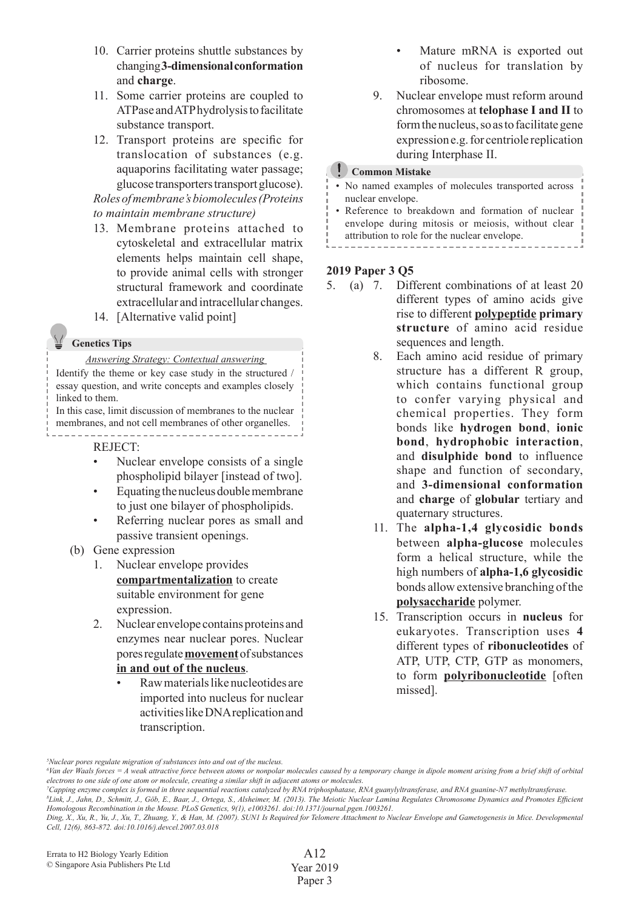- 10. Carrier proteins shuttle substances by changing**3-dimensional conformation** and **charge**.
- 11. Some carrier proteins are coupled to ATPase andATPhydrolysistofacilitate substance transport.
- 12. Transport proteins are specific for translocation of substances (e.g. aquaporins facilitating water passage; glucose transporters transport glucose).

 *Roles of membrane's biomolecules (Proteins to maintain membrane structure)*

- 13. Membrane proteins attached to cytoskeletal and extracellular matrix elements helps maintain cell shape, to provide animal cells with stronger structural framework and coordinate extracellular and intracellular changes.
- 14. [Alternative valid point]

#### **Genetics Tips**

#### *Answering Strategy: Contextual answering*

Identify the theme or key case study in the structured / essay question, and write concepts and examples closely linked to them.

In this case, limit discussion of membranes to the nuclear membranes, and not cell membranes of other organelles. -----------------------------------

#### REJECT:

- Nuclear envelope consists of a single phospholipid bilayer [instead of two].
- Equating the nucleus double membrane to just one bilayer of phospholipids.
- Referring nuclear pores as small and passive transient openings.
- (b) Gene expression
	- 1. Nuclear envelope provides **compartmentalization** to create suitable environment for gene expression.
	- 2. Nuclear envelope containsproteins and enzymes near nuclear pores. Nuclear poresregulate**movement**ofsubstances **in and out of the nucleus**.
		- Raw materials like nucleotides are imported into nucleus for nuclear activitieslikeDNAreplicationand transcription.
- Mature mRNA is exported out of nucleus for translation by ribosome.
- 9. Nuclear envelope must reform around chromosomes at **telophase I and II** to form the nucleus, so as to facilitate gene expressione.g.for centriole replication during Interphase II.

#### **Common Mistake**

- • No named examples of molecules transported across nuclear envelope.
- • Reference to breakdown and formation of nuclear envelope during mitosis or meiosis, without clear attribution to role for the nuclear envelope.

## ----------**2019 Paper 3 Q5**

- 5. (a) 7. Different combinations of at least 20 different types of amino acids give rise to different **polypeptide primary structure** of amino acid residue sequences and length.
	- 8. Each amino acid residue of primary structure has a different R group, which contains functional group to confer varying physical and chemical properties. They form bonds like **hydrogen bond**, **ionic bond**, **hydrophobic interaction**, and **disulphide bond** to influence shape and function of secondary, and **3-dimensional conformation** and **charge** of **globular** tertiary and quaternary structures.
	- 11. The **alpha-1,4 glycosidic bonds** between **alpha-glucose** molecules form a helical structure, while the high numbers of **alpha-1,6 glycosidic** bonds allow extensive branching of the **polysaccharide** polymer.
	- 15. Transcription occurs in **nucleus** for eukaryotes. Transcription uses **4** different types of **ribonucleotides** of ATP, UTP, CTP, GTP as monomers, to form **polyribonucleotide** [often missed].

*<sup>5</sup> Nuclear pores regulate migration of substances into and out of the nucleus.*

*<sup>6</sup> Van der Waals forces = A weak attractive force between atoms or nonpolar molecules caused by a temporary change in dipole moment arising from a brief shift of orbital electrons to one side of one atom or molecule, creating a similar shift in adjacent atoms or molecules.*

*<sup>7</sup> Capping enzyme complex is formed in three sequential reactions catalyzed by RNA triphosphatase, RNA guanylyltransferase, and RNA guanine-N7 methyltransferase.*

*<sup>8</sup> Link, J., Jahn, D., Schmitt, J., Göb, E., Baar, J., Ortega, S., Alsheimer, M. (2013). The Meiotic Nuclear Lamina Regulates Chromosome Dynamics and Promotes Efficient Homologous Recombination in the Mouse. PLoS Genetics, 9(1), e1003261. doi:10.1371/journal.pgen.1003261.*

*Ding, X., Xu, R., Yu, J., Xu, T., Zhuang, Y., & Han, M. (2007). SUN1 Is Required for Telomere Attachment to Nuclear Envelope and Gametogenesis in Mice. Developmental Cell, 12(6), 863-872. doi:10.1016/j.devcel.2007.03.018*